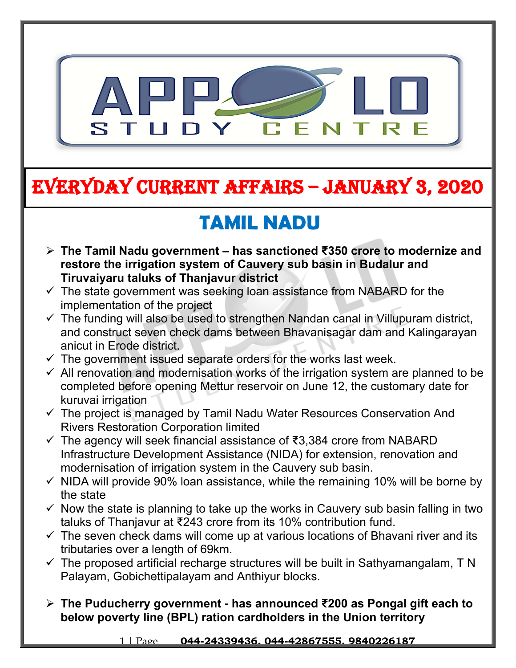

# **EVERYDAY CURRENT AFFAIRS – JANUARY 3, 2020**

# **TAMIL NADU**

- **The Tamil Nadu government has sanctioned ₹350 crore to modernize and restore the irrigation system of Cauvery sub basin in Budalur and Tiruvaiyaru taluks of Thanjavur district**
- $\checkmark$  The state government was seeking loan assistance from NABARD for the implementation of the project
- $\checkmark$  The funding will also be used to strengthen Nandan canal in Villupuram district, and construct seven check dams between Bhavanisagar dam and Kalingarayan anicut in Erode district.
- $\checkmark$  The government issued separate orders for the works last week.
- $\checkmark$  All renovation and modernisation works of the irrigation system are planned to be completed before opening Mettur reservoir on June 12, the customary date for kuruvai irrigation
- $\checkmark$  The project is managed by Tamil Nadu Water Resources Conservation And Rivers Restoration Corporation limited
- The agency will seek financial assistance of ₹3,384 crore from NABARD Infrastructure Development Assistance (NIDA) for extension, renovation and modernisation of irrigation system in the Cauvery sub basin.
- $\checkmark$  NIDA will provide 90% loan assistance, while the remaining 10% will be borne by the state
- $\checkmark$  Now the state is planning to take up the works in Cauvery sub basin falling in two taluks of Thanjavur at ₹243 crore from its 10% contribution fund.
- $\checkmark$  The seven check dams will come up at various locations of Bhavani river and its tributaries over a length of 69km.
- $\checkmark$  The proposed artificial recharge structures will be built in Sathyamangalam, T N Palayam, Gobichettipalayam and Anthiyur blocks.
- **The Puducherry government has announced ₹200 as Pongal gift each to below poverty line (BPL) ration cardholders in the Union territory**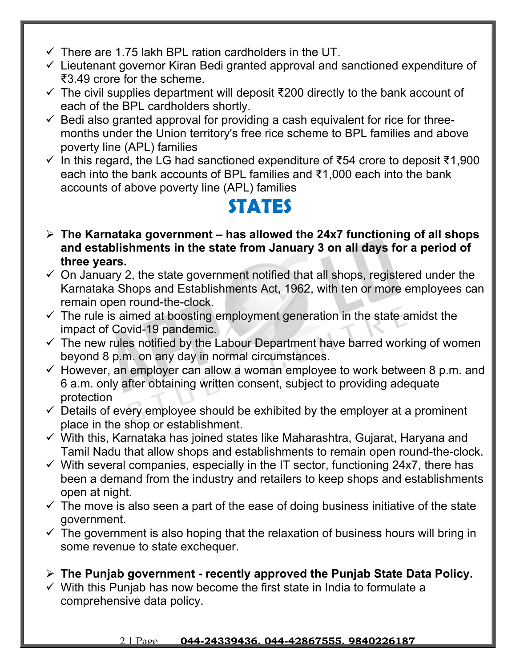- $\checkmark$  There are 1.75 lakh BPL ration cardholders in the UT.
- $\checkmark$  Lieutenant governor Kiran Bedi granted approval and sanctioned expenditure of ₹3.49 crore for the scheme.
- $\checkmark$  The civil supplies department will deposit ₹200 directly to the bank account of each of the BPL cardholders shortly.
- $\checkmark$  Bedi also granted approval for providing a cash equivalent for rice for threemonths under the Union territory's free rice scheme to BPL families and above poverty line (APL) families
- $\checkmark$  In this regard, the LG had sanctioned expenditure of ₹54 crore to deposit ₹1,900 each into the bank accounts of BPL families and ₹1,000 each into the bank accounts of above poverty line (APL) families

### **STATES**

- **The Karnataka government has allowed the 24x7 functioning of all shops and establishments in the state from January 3 on all days for a period of three years.**
- $\checkmark$  On January 2, the state government notified that all shops, registered under the Karnataka Shops and Establishments Act, 1962, with ten or more employees can remain open round-the-clock.
- $\checkmark$  The rule is aimed at boosting employment generation in the state amidst the impact of Covid-19 pandemic.
- $\checkmark$  The new rules notified by the Labour Department have barred working of women beyond 8 p.m. on any day in normal circumstances.
- $\checkmark$  However, an employer can allow a woman employee to work between 8 p.m. and 6 a.m. only after obtaining written consent, subject to providing adequate protection
- $\checkmark$  Details of every employee should be exhibited by the employer at a prominent place in the shop or establishment.
- $\checkmark$  With this, Karnataka has joined states like Maharashtra, Gujarat, Haryana and Tamil Nadu that allow shops and establishments to remain open round-the-clock.
- $\checkmark$  With several companies, especially in the IT sector, functioning 24x7, there has been a demand from the industry and retailers to keep shops and establishments open at night.
- $\checkmark$  The move is also seen a part of the ease of doing business initiative of the state government.
- $\checkmark$  The government is also hoping that the relaxation of business hours will bring in some revenue to state exchequer.
- **The Punjab government recently approved the Punjab State Data Policy.**
- $\checkmark$  With this Punjab has now become the first state in India to formulate a comprehensive data policy.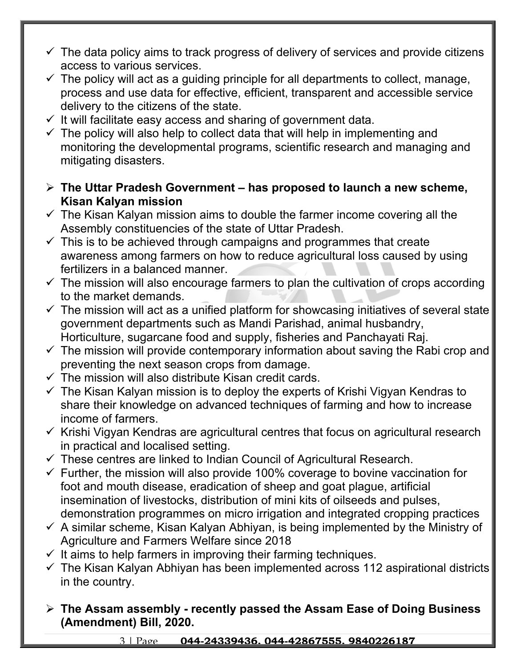- $\checkmark$  The data policy aims to track progress of delivery of services and provide citizens access to various services.
- $\checkmark$  The policy will act as a guiding principle for all departments to collect, manage, process and use data for effective, efficient, transparent and accessible service delivery to the citizens of the state.
- $\checkmark$  It will facilitate easy access and sharing of government data.
- $\checkmark$  The policy will also help to collect data that will help in implementing and monitoring the developmental programs, scientific research and managing and mitigating disasters.
- **The Uttar Pradesh Government has proposed to launch a new scheme, Kisan Kalyan mission**
- $\checkmark$  The Kisan Kalyan mission aims to double the farmer income covering all the Assembly constituencies of the state of Uttar Pradesh.
- $\checkmark$  This is to be achieved through campaigns and programmes that create awareness among farmers on how to reduce agricultural loss caused by using fertilizers in a balanced manner.
- $\checkmark$  The mission will also encourage farmers to plan the cultivation of crops according to the market demands.
- $\checkmark$  The mission will act as a unified platform for showcasing initiatives of several state government departments such as Mandi Parishad, animal husbandry, Horticulture, sugarcane food and supply, fisheries and Panchayati Raj.
- $\checkmark$  The mission will provide contemporary information about saving the Rabi crop and preventing the next season crops from damage.
- $\checkmark$  The mission will also distribute Kisan credit cards.
- $\checkmark$  The Kisan Kalyan mission is to deploy the experts of Krishi Vigyan Kendras to share their knowledge on advanced techniques of farming and how to increase income of farmers.
- $\checkmark$  Krishi Vigyan Kendras are agricultural centres that focus on agricultural research in practical and localised setting.
- $\checkmark$  These centres are linked to Indian Council of Agricultural Research.
- $\checkmark$  Further, the mission will also provide 100% coverage to bovine vaccination for foot and mouth disease, eradication of sheep and goat plague, artificial insemination of livestocks, distribution of mini kits of oilseeds and pulses, demonstration programmes on micro irrigation and integrated cropping practices
- $\checkmark$  A similar scheme, Kisan Kalyan Abhiyan, is being implemented by the Ministry of Agriculture and Farmers Welfare since 2018
- $\checkmark$  It aims to help farmers in improving their farming techniques.
- $\checkmark$  The Kisan Kalyan Abhiyan has been implemented across 112 aspirational districts in the country.
- **The Assam assembly recently passed the Assam Ease of Doing Business (Amendment) Bill, 2020.**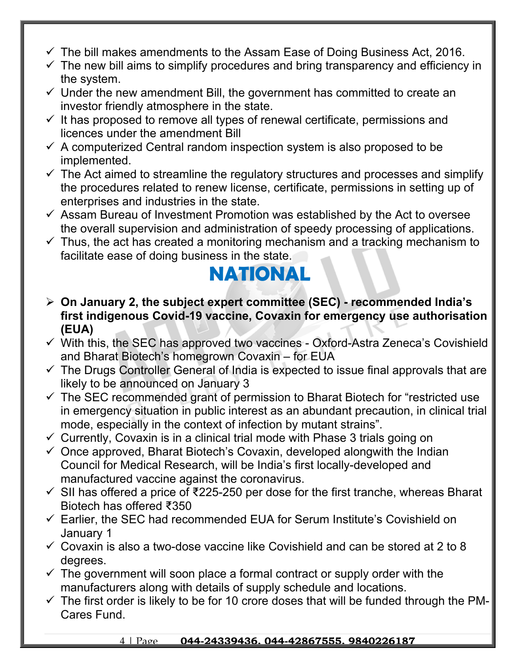- $\checkmark$  The bill makes amendments to the Assam Ease of Doing Business Act, 2016.
- $\checkmark$  The new bill aims to simplify procedures and bring transparency and efficiency in the system.
- $\checkmark$  Under the new amendment Bill, the government has committed to create an investor friendly atmosphere in the state.
- $\checkmark$  It has proposed to remove all types of renewal certificate, permissions and licences under the amendment Bill
- $\checkmark$  A computerized Central random inspection system is also proposed to be implemented.
- $\checkmark$  The Act aimed to streamline the regulatory structures and processes and simplify the procedures related to renew license, certificate, permissions in setting up of enterprises and industries in the state.
- $\checkmark$  Assam Bureau of Investment Promotion was established by the Act to oversee the overall supervision and administration of speedy processing of applications.
- $\checkmark$  Thus, the act has created a monitoring mechanism and a tracking mechanism to facilitate ease of doing business in the state.

## **NATIONAL**

- **On January 2, the subject expert committee (SEC) recommended India's first indigenous Covid-19 vaccine, Covaxin for emergency use authorisation (EUA)**
- $\checkmark$  With this, the SEC has approved two vaccines Oxford-Astra Zeneca's Covishield and Bharat Biotech's homegrown Covaxin – for EUA
- $\checkmark$  The Drugs Controller General of India is expected to issue final approvals that are likely to be announced on January 3
- $\checkmark$  The SEC recommended grant of permission to Bharat Biotech for "restricted use in emergency situation in public interest as an abundant precaution, in clinical trial mode, especially in the context of infection by mutant strains".
- $\checkmark$  Currently, Covaxin is in a clinical trial mode with Phase 3 trials going on
- $\checkmark$  Once approved, Bharat Biotech's Covaxin, developed alongwith the Indian Council for Medical Research, will be India's first locally-developed and manufactured vaccine against the coronavirus.
- $\checkmark$  SII has offered a price of ₹225-250 per dose for the first tranche, whereas Bharat Biotech has offered ₹350
- $\checkmark$  Earlier, the SEC had recommended EUA for Serum Institute's Covishield on January 1
- $\checkmark$  Covaxin is also a two-dose vaccine like Covishield and can be stored at 2 to 8 degrees.
- $\checkmark$  The government will soon place a formal contract or supply order with the manufacturers along with details of supply schedule and locations.
- $\checkmark$  The first order is likely to be for 10 crore doses that will be funded through the PM-Cares Fund.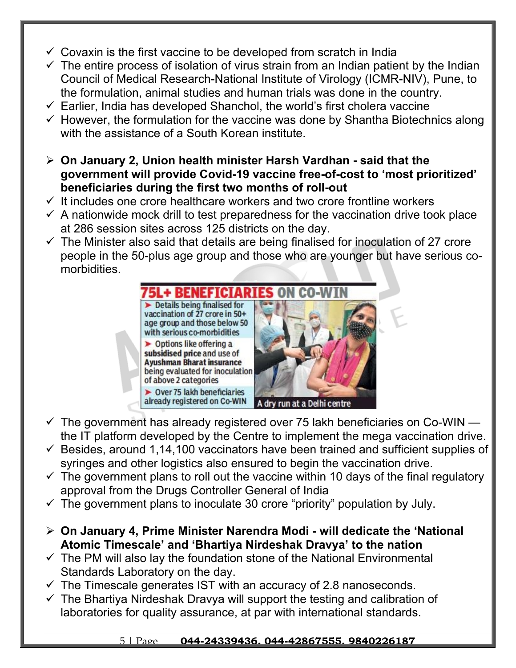- $\checkmark$  Covaxin is the first vaccine to be developed from scratch in India
- $\checkmark$  The entire process of isolation of virus strain from an Indian patient by the Indian Council of Medical Research-National Institute of Virology (ICMR-NIV), Pune, to the formulation, animal studies and human trials was done in the country.
- $\checkmark$  Earlier, India has developed Shanchol, the world's first cholera vaccine
- $\checkmark$  However, the formulation for the vaccine was done by Shantha Biotechnics along with the assistance of a South Korean institute.
- **On January 2, Union health minister Harsh Vardhan said that the government will provide Covid-19 vaccine free-of-cost to 'most prioritized' beneficiaries during the first two months of roll-out**
- $\checkmark$  It includes one crore healthcare workers and two crore frontline workers
- $\checkmark$  A nationwide mock drill to test preparedness for the vaccination drive took place at 286 session sites across 125 districts on the day.
- $\checkmark$  The Minister also said that details are being finalised for inoculation of 27 crore people in the 50-plus age group and those who are younger but have serious comorbidities.



- $\checkmark$  The government has already registered over 75 lakh beneficiaries on Co-WIN the IT platform developed by the Centre to implement the mega vaccination drive.
- $\checkmark$  Besides, around 1,14,100 vaccinators have been trained and sufficient supplies of syringes and other logistics also ensured to begin the vaccination drive.
- $\checkmark$  The government plans to roll out the vaccine within 10 days of the final regulatory approval from the Drugs Controller General of India
- $\checkmark$  The government plans to inoculate 30 crore "priority" population by July.
- **On January 4, Prime Minister Narendra Modi will dedicate the 'National Atomic Timescale' and 'Bhartiya Nirdeshak Dravya' to the nation**
- $\checkmark$  The PM will also lay the foundation stone of the National Environmental Standards Laboratory on the day.
- $\checkmark$  The Timescale generates IST with an accuracy of 2.8 nanoseconds.
- $\checkmark$  The Bhartiya Nirdeshak Dravya will support the testing and calibration of laboratories for quality assurance, at par with international standards.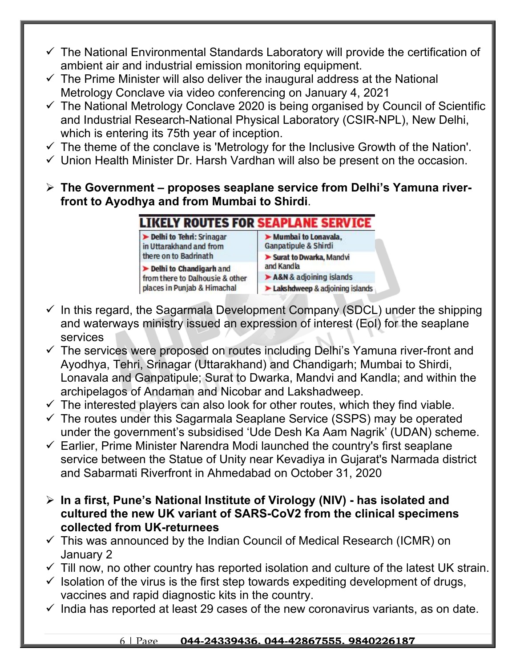- $\checkmark$  The National Environmental Standards Laboratory will provide the certification of ambient air and industrial emission monitoring equipment.
- $\checkmark$  The Prime Minister will also deliver the inaugural address at the National Metrology Conclave via video conferencing on January 4, 2021
- $\checkmark$  The National Metrology Conclave 2020 is being organised by Council of Scientific and Industrial Research-National Physical Laboratory (CSIR-NPL), New Delhi, which is entering its 75th year of inception.
- $\checkmark$  The theme of the conclave is 'Metrology for the Inclusive Growth of the Nation'.
- $\checkmark$  Union Health Minister Dr. Harsh Vardhan will also be present on the occasion.
- **The Government proposes seaplane service from Delhi's Yamuna riverfront to Ayodhya and from Mumbai to Shirdi**.

### IKELY ROUTES FOR SEAPLANE SERVICE

Delhi to Tehri: Srinagar in Uttarakhand and from there on to Badrinath

Delhi to Chandigarh and from there to Dalhousie & other places in Punjab & Himachal

- Mumbai to Lonavala. Ganpatipule & Shirdi
- Surat to Dwarka, Mandvi
- and Kandla
- A&N & adjoining islands
- Lakshdweep & adjoining islands
- $\checkmark$  In this regard, the Sagarmala Development Company (SDCL) under the shipping and waterways ministry issued an expression of interest (EoI) for the seaplane services
- $\checkmark$  The services were proposed on routes including Delhi's Yamuna river-front and Ayodhya, Tehri, Srinagar (Uttarakhand) and Chandigarh; Mumbai to Shirdi, Lonavala and Ganpatipule; Surat to Dwarka, Mandvi and Kandla; and within the archipelagos of Andaman and Nicobar and Lakshadweep.
- $\checkmark$  The interested players can also look for other routes, which they find viable.
- $\checkmark$  The routes under this Sagarmala Seaplane Service (SSPS) may be operated under the government's subsidised 'Ude Desh Ka Aam Nagrik' (UDAN) scheme.
- $\checkmark$  Earlier, Prime Minister Narendra Modi launched the country's first seaplane service between the Statue of Unity near Kevadiya in Gujarat's Narmada district and Sabarmati Riverfront in Ahmedabad on October 31, 2020
- **In a first, Pune's National Institute of Virology (NIV) has isolated and cultured the new UK variant of SARS-CoV2 from the clinical specimens collected from UK-returnees**
- $\checkmark$  This was announced by the Indian Council of Medical Research (ICMR) on January 2
- $\checkmark$  Till now, no other country has reported isolation and culture of the latest UK strain.
- $\checkmark$  Isolation of the virus is the first step towards expediting development of drugs, vaccines and rapid diagnostic kits in the country.
- $\checkmark$  India has reported at least 29 cases of the new coronavirus variants, as on date.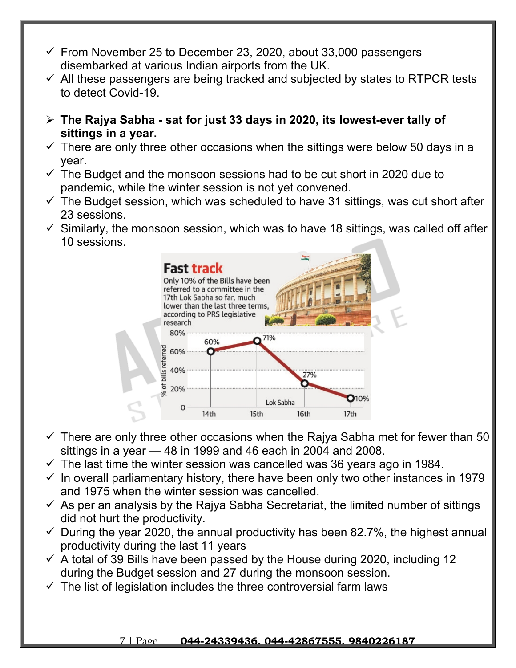- $\checkmark$  From November 25 to December 23, 2020, about 33,000 passengers disembarked at various Indian airports from the UK.
- $\checkmark$  All these passengers are being tracked and subjected by states to RTPCR tests to detect Covid-19.
- **The Rajya Sabha sat for just 33 days in 2020, its lowest-ever tally of sittings in a year.**
- $\checkmark$  There are only three other occasions when the sittings were below 50 days in a year.
- $\checkmark$  The Budget and the monsoon sessions had to be cut short in 2020 due to pandemic, while the winter session is not yet convened.
- $\checkmark$  The Budget session, which was scheduled to have 31 sittings, was cut short after 23 sessions.
- $\checkmark$  Similarly, the monsoon session, which was to have 18 sittings, was called off after 10 sessions.



- $\checkmark$  There are only three other occasions when the Raiya Sabha met for fewer than 50 sittings in a year — 48 in 1999 and 46 each in 2004 and 2008.
- $\checkmark$  The last time the winter session was cancelled was 36 years ago in 1984.
- $\checkmark$  In overall parliamentary history, there have been only two other instances in 1979 and 1975 when the winter session was cancelled.
- $\checkmark$  As per an analysis by the Rajya Sabha Secretariat, the limited number of sittings did not hurt the productivity.
- $\checkmark$  During the year 2020, the annual productivity has been 82.7%, the highest annual productivity during the last 11 years
- $\checkmark$  A total of 39 Bills have been passed by the House during 2020, including 12 during the Budget session and 27 during the monsoon session.
- $\checkmark$  The list of legislation includes the three controversial farm laws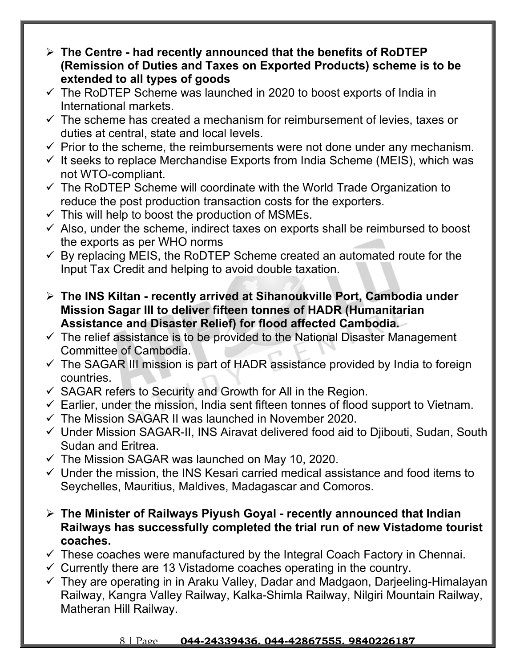- **The Centre had recently announced that the benefits of RoDTEP (Remission of Duties and Taxes on Exported Products) scheme is to be extended to all types of goods**
- $\checkmark$  The RoDTEP Scheme was launched in 2020 to boost exports of India in International markets.
- $\checkmark$  The scheme has created a mechanism for reimbursement of levies, taxes or duties at central, state and local levels.
- $\checkmark$  Prior to the scheme, the reimbursements were not done under any mechanism.
- $\checkmark$  It seeks to replace Merchandise Exports from India Scheme (MEIS), which was not WTO-compliant.
- $\checkmark$  The RoDTEP Scheme will coordinate with the World Trade Organization to reduce the post production transaction costs for the exporters.
- $\checkmark$  This will help to boost the production of MSMEs.
- $\checkmark$  Also, under the scheme, indirect taxes on exports shall be reimbursed to boost the exports as per WHO norms
- $\checkmark$  By replacing MEIS, the RoDTEP Scheme created an automated route for the Input Tax Credit and helping to avoid double taxation.
- **The INS Kiltan recently arrived at Sihanoukville Port, Cambodia under Mission Sagar III to deliver fifteen tonnes of HADR (Humanitarian Assistance and Disaster Relief) for flood affected Cambodia.**
- $\checkmark$  The relief assistance is to be provided to the National Disaster Management Committee of Cambodia.
- $\checkmark$  The SAGAR III mission is part of HADR assistance provided by India to foreign countries.
- $\checkmark$  SAGAR refers to Security and Growth for All in the Region.
- $\checkmark$  Earlier, under the mission, India sent fifteen tonnes of flood support to Vietnam.
- $\checkmark$  The Mission SAGAR II was launched in November 2020.
- $\checkmark$  Under Mission SAGAR-II, INS Airavat delivered food aid to Djibouti, Sudan, South Sudan and Eritrea.
- $\checkmark$  The Mission SAGAR was launched on May 10, 2020.
- $\checkmark$  Under the mission, the INS Kesari carried medical assistance and food items to Seychelles, Mauritius, Maldives, Madagascar and Comoros.
- **The Minister of Railways Piyush Goyal recently announced that Indian Railways has successfully completed the trial run of new Vistadome tourist coaches.**
- $\checkmark$  These coaches were manufactured by the Integral Coach Factory in Chennai.
- $\checkmark$  Currently there are 13 Vistadome coaches operating in the country.
- $\checkmark$  They are operating in in Araku Valley, Dadar and Madgaon, Darjeeling-Himalayan Railway, Kangra Valley Railway, Kalka-Shimla Railway, Nilgiri Mountain Railway, Matheran Hill Railway.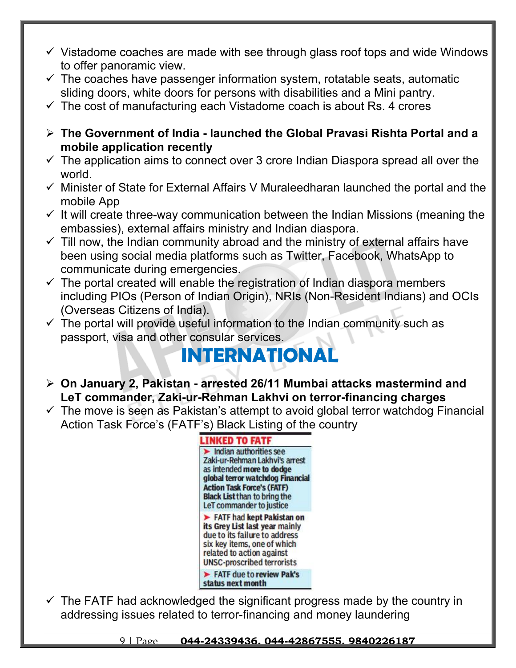- $\checkmark$  Vistadome coaches are made with see through glass roof tops and wide Windows to offer panoramic view.
- $\checkmark$  The coaches have passenger information system, rotatable seats, automatic sliding doors, white doors for persons with disabilities and a Mini pantry.
- $\checkmark$  The cost of manufacturing each Vistadome coach is about Rs. 4 crores
- **The Government of India launched the Global Pravasi Rishta Portal and a mobile application recently**
- $\checkmark$  The application aims to connect over 3 crore Indian Diaspora spread all over the world.
- $\checkmark$  Minister of State for External Affairs V Muraleedharan launched the portal and the mobile App
- $\checkmark$  It will create three-way communication between the Indian Missions (meaning the embassies), external affairs ministry and Indian diaspora.
- $\checkmark$  Till now, the Indian community abroad and the ministry of external affairs have been using social media platforms such as Twitter, Facebook, WhatsApp to communicate during emergencies.
- $\checkmark$  The portal created will enable the registration of Indian diaspora members including PIOs (Person of Indian Origin), NRIs (Non-Resident Indians) and OCIs (Overseas Citizens of India).
- $\checkmark$  The portal will provide useful information to the Indian community such as passport, visa and other consular services.

# **INTERNATIONA**

- **On January 2, Pakistan arrested 26/11 Mumbai attacks mastermind and LeT commander, Zaki-ur-Rehman Lakhvi on terror-financing charges**
- $\checkmark$  The move is seen as Pakistan's attempt to avoid global terror watchdog Financial Action Task Force's (FATF's) Black Listing of the country



 $\checkmark$  The FATF had acknowledged the significant progress made by the country in addressing issues related to terror-financing and money laundering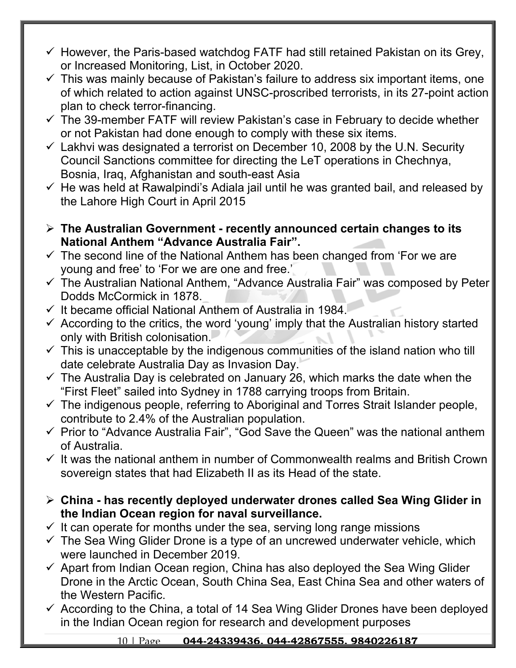- $\checkmark$  However, the Paris-based watchdog FATF had still retained Pakistan on its Grey, or Increased Monitoring, List, in October 2020.
- $\checkmark$  This was mainly because of Pakistan's failure to address six important items, one of which related to action against UNSC-proscribed terrorists, in its 27-point action plan to check terror-financing.
- $\checkmark$  The 39-member FATF will review Pakistan's case in February to decide whether or not Pakistan had done enough to comply with these six items.
- $\checkmark$  Lakhvi was designated a terrorist on December 10, 2008 by the U.N. Security Council Sanctions committee for directing the LeT operations in Chechnya, Bosnia, Iraq, Afghanistan and south-east Asia
- $\checkmark$  He was held at Rawalpindi's Adiala jail until he was granted bail, and released by the Lahore High Court in April 2015
- **The Australian Government recently announced certain changes to its National Anthem "Advance Australia Fair".**
- $\checkmark$  The second line of the National Anthem has been changed from 'For we are young and free' to 'For we are one and free.'
- $\checkmark$  The Australian National Anthem, "Advance Australia Fair" was composed by Peter Dodds McCormick in 1878.
- $\checkmark$  It became official National Anthem of Australia in 1984.
- $\checkmark$  According to the critics, the word 'young' imply that the Australian history started only with British colonisation.
- $\checkmark$  This is unacceptable by the indigenous communities of the island nation who till date celebrate Australia Day as Invasion Day.
- $\checkmark$  The Australia Day is celebrated on January 26, which marks the date when the "First Fleet" sailed into Sydney in 1788 carrying troops from Britain.
- $\checkmark$  The indigenous people, referring to Aboriginal and Torres Strait Islander people, contribute to 2.4% of the Australian population.
- $\checkmark$  Prior to "Advance Australia Fair", "God Save the Queen" was the national anthem of Australia.
- $\checkmark$  It was the national anthem in number of Commonwealth realms and British Crown sovereign states that had Elizabeth II as its Head of the state.
- **China has recently deployed underwater drones called Sea Wing Glider in the Indian Ocean region for naval surveillance.**
- $\checkmark$  It can operate for months under the sea, serving long range missions
- $\checkmark$  The Sea Wing Glider Drone is a type of an uncrewed underwater vehicle, which were launched in December 2019.
- $\checkmark$  Apart from Indian Ocean region, China has also deployed the Sea Wing Glider Drone in the Arctic Ocean, South China Sea, East China Sea and other waters of the Western Pacific.
- $\checkmark$  According to the China, a total of 14 Sea Wing Glider Drones have been deployed in the Indian Ocean region for research and development purposes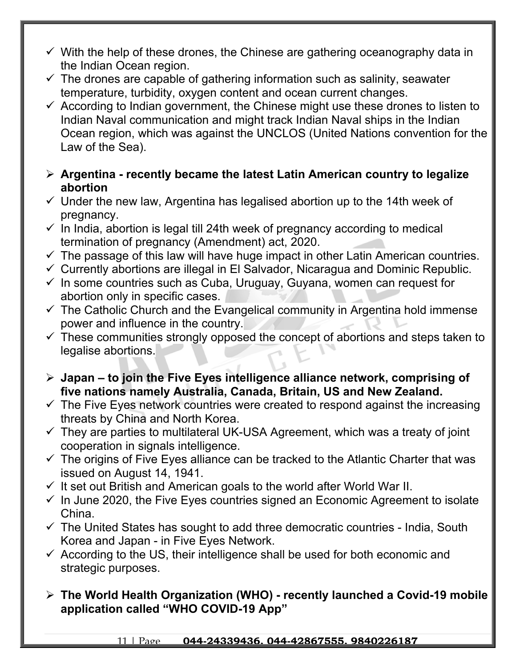- $\checkmark$  With the help of these drones, the Chinese are gathering oceanography data in the Indian Ocean region.
- $\checkmark$  The drones are capable of gathering information such as salinity, seawater temperature, turbidity, oxygen content and ocean current changes.
- $\checkmark$  According to Indian government, the Chinese might use these drones to listen to Indian Naval communication and might track Indian Naval ships in the Indian Ocean region, which was against the UNCLOS (United Nations convention for the Law of the Sea).
- **Argentina recently became the latest Latin American country to legalize abortion**
- $\checkmark$  Under the new law, Argentina has legalised abortion up to the 14th week of pregnancy.
- $\checkmark$  In India, abortion is legal till 24th week of pregnancy according to medical termination of pregnancy (Amendment) act, 2020.
- $\checkmark$  The passage of this law will have huge impact in other Latin American countries.
- $\checkmark$  Currently abortions are illegal in El Salvador, Nicaragua and Dominic Republic.
- $\checkmark$  In some countries such as Cuba, Uruguay, Guyana, women can request for abortion only in specific cases.
- $\checkmark$  The Catholic Church and the Evangelical community in Argentina hold immense power and influence in the country.
- $\checkmark$  These communities strongly opposed the concept of abortions and steps taken to legalise abortions.
- **Japan to join the Five Eyes intelligence alliance network, comprising of five nations namely Australia, Canada, Britain, US and New Zealand.**
- $\checkmark$  The Five Eyes network countries were created to respond against the increasing threats by China and North Korea.
- $\checkmark$  They are parties to multilateral UK-USA Agreement, which was a treaty of joint cooperation in signals intelligence.
- $\checkmark$  The origins of Five Eyes alliance can be tracked to the Atlantic Charter that was issued on August 14, 1941.
- $\checkmark$  It set out British and American goals to the world after World War II.
- $\checkmark$  In June 2020, the Five Eyes countries signed an Economic Agreement to isolate China.
- $\checkmark$  The United States has sought to add three democratic countries India, South Korea and Japan - in Five Eyes Network.
- $\checkmark$  According to the US, their intelligence shall be used for both economic and strategic purposes.
- **The World Health Organization (WHO) recently launched a Covid-19 mobile application called "WHO COVID-19 App"**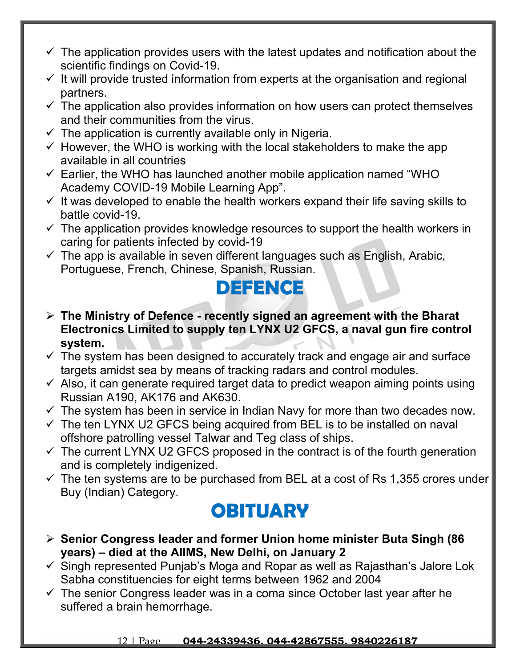- $\checkmark$  The application provides users with the latest updates and notification about the scientific findings on Covid-19.
- $\checkmark$  It will provide trusted information from experts at the organisation and regional partners.
- $\checkmark$  The application also provides information on how users can protect themselves and their communities from the virus.
- $\checkmark$  The application is currently available only in Nigeria.
- $\checkmark$  However, the WHO is working with the local stakeholders to make the app available in all countries
- $\checkmark$  Earlier, the WHO has launched another mobile application named "WHO Academy COVID-19 Mobile Learning App".
- $\checkmark$  It was developed to enable the health workers expand their life saving skills to battle covid-19.
- $\checkmark$  The application provides knowledge resources to support the health workers in caring for patients infected by covid-19
- $\checkmark$  The app is available in seven different languages such as English, Arabic, Portuguese, French, Chinese, Spanish, Russian.

### **DEFENCE**

- **The Ministry of Defence recently signed an agreement with the Bharat Electronics Limited to supply ten LYNX U2 GFCS, a naval gun fire control system.**
- $\checkmark$  The system has been designed to accurately track and engage air and surface targets amidst sea by means of tracking radars and control modules.
- $\checkmark$  Also, it can generate required target data to predict weapon aiming points using Russian A190, AK176 and AK630.
- $\checkmark$  The system has been in service in Indian Navy for more than two decades now.
- $\checkmark$  The ten LYNX U2 GFCS being acquired from BEL is to be installed on naval offshore patrolling vessel Talwar and Teg class of ships.
- $\checkmark$  The current LYNX U2 GFCS proposed in the contract is of the fourth generation and is completely indigenized.
- $\checkmark$  The ten systems are to be purchased from BEL at a cost of Rs 1,355 crores under Buy (Indian) Category.

### **OBITUARY**

- **Senior Congress leader and former Union home minister Buta Singh (86 years) – died at the AIIMS, New Delhi, on January 2**
- $\checkmark$  Singh represented Punjab's Moga and Ropar as well as Rajasthan's Jalore Lok Sabha constituencies for eight terms between 1962 and 2004
- $\checkmark$  The senior Congress leader was in a coma since October last year after he suffered a brain hemorrhage.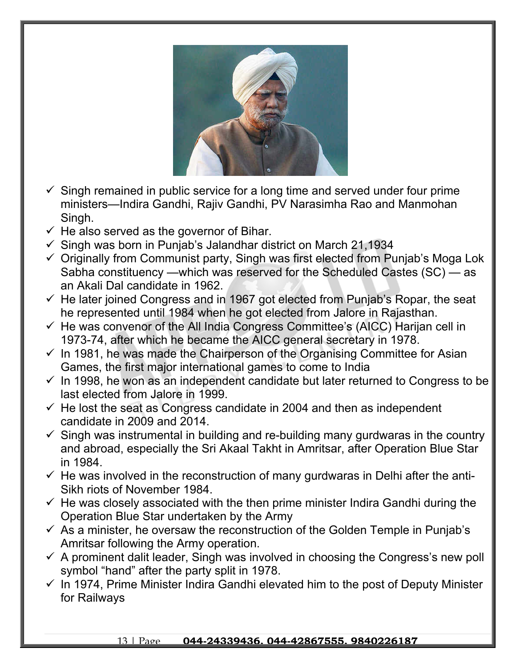

- $\checkmark$  Singh remained in public service for a long time and served under four prime ministers—Indira Gandhi, Rajiv Gandhi, PV Narasimha Rao and Manmohan Singh.
- $\checkmark$  He also served as the governor of Bihar.
- $\checkmark$  Singh was born in Punjab's Jalandhar district on March 21,1934
- $\checkmark$  Originally from Communist party, Singh was first elected from Punjab's Moga Lok Sabha constituency —which was reserved for the Scheduled Castes (SC) — as an Akali Dal candidate in 1962.
- $\checkmark$  He later joined Congress and in 1967 got elected from Punjab's Ropar, the seat he represented until 1984 when he got elected from Jalore in Rajasthan.
- $\checkmark$  He was convenor of the All India Congress Committee's (AICC) Harijan cell in 1973-74, after which he became the AICC general secretary in 1978.
- $\checkmark$  In 1981, he was made the Chairperson of the Organising Committee for Asian Games, the first major international games to come to India
- $\checkmark$  In 1998, he won as an independent candidate but later returned to Congress to be last elected from Jalore in 1999.
- $\checkmark$  He lost the seat as Congress candidate in 2004 and then as independent candidate in 2009 and 2014.
- $\checkmark$  Singh was instrumental in building and re-building many gurdwaras in the country and abroad, especially the Sri Akaal Takht in Amritsar, after Operation Blue Star in 1984.
- $\checkmark$  He was involved in the reconstruction of many gurdwaras in Delhi after the anti-Sikh riots of November 1984.
- $\checkmark$  He was closely associated with the then prime minister Indira Gandhi during the Operation Blue Star undertaken by the Army
- $\checkmark$  As a minister, he oversaw the reconstruction of the Golden Temple in Punjab's Amritsar following the Army operation.
- $\checkmark$  A prominent dalit leader, Singh was involved in choosing the Congress's new poll symbol "hand" after the party split in 1978.
- $\checkmark$  In 1974, Prime Minister Indira Gandhi elevated him to the post of Deputy Minister for Railways